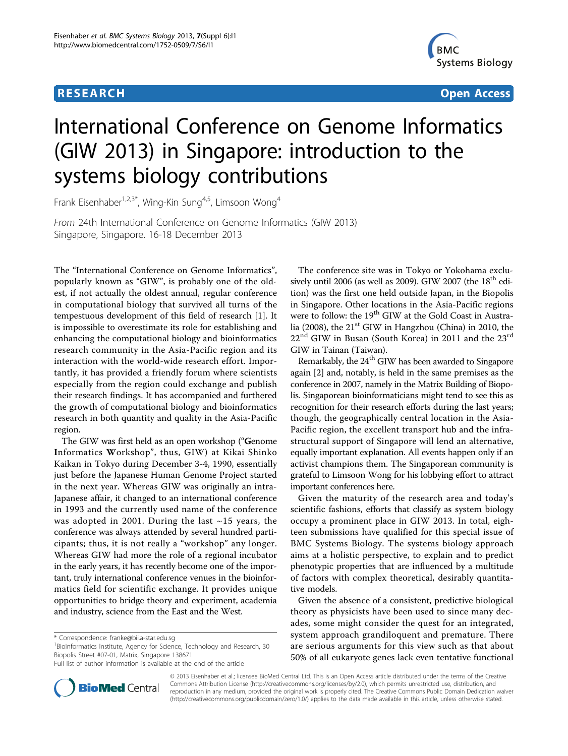# **RESEARCH CONTROL** CONTROL CONTROL CONTROL CONTROL CONTROL CONTROL CONTROL CONTROL CONTROL CONTROL CONTROL CONTROL CONTROL CONTROL CONTROL CONTROL CONTROL CONTROL CONTROL CONTROL CONTROL CONTROL CONTROL CONTROL CONTROL CON



# International Conference on Genome Informatics (GIW 2013) in Singapore: introduction to the systems biology contributions

Frank Eisenhaber<sup>1,2,3\*</sup>, Wing-Kin Sung<sup>4,5</sup>, Limsoon Wong<sup>4</sup>

From 24th International Conference on Genome Informatics (GIW 2013) Singapore, Singapore. 16-18 December 2013

The "International Conference on Genome Informatics", popularly known as "GIW", is probably one of the oldest, if not actually the oldest annual, regular conference in computational biology that survived all turns of the tempestuous development of this field of research [\[1](#page-1-0)]. It is impossible to overestimate its role for establishing and enhancing the computational biology and bioinformatics research community in the Asia-Pacific region and its interaction with the world-wide research effort. Importantly, it has provided a friendly forum where scientists especially from the region could exchange and publish their research findings. It has accompanied and furthered the growth of computational biology and bioinformatics research in both quantity and quality in the Asia-Pacific region.

The GIW was first held as an open workshop ("Genome Informatics Workshop", thus, GIW) at Kikai Shinko Kaikan in Tokyo during December 3-4, 1990, essentially just before the Japanese Human Genome Project started in the next year. Whereas GIW was originally an intra-Japanese affair, it changed to an international conference in 1993 and the currently used name of the conference was adopted in 2001. During the last  $\sim$ 15 years, the conference was always attended by several hundred participants; thus, it is not really a "workshop" any longer. Whereas GIW had more the role of a regional incubator in the early years, it has recently become one of the important, truly international conference venues in the bioinformatics field for scientific exchange. It provides unique opportunities to bridge theory and experiment, academia and industry, science from the East and the West.

<sup>1</sup>Bioinformatics Institute, Agency for Science, Technology and Research, 30 Biopolis Street #07-01, Matrix, Singapore 138671

The conference site was in Tokyo or Yokohama exclusively until 2006 (as well as 2009). GIW 2007 (the  $18<sup>th</sup>$  edition) was the first one held outside Japan, in the Biopolis in Singapore. Other locations in the Asia-Pacific regions were to follow: the 19<sup>th</sup> GIW at the Gold Coast in Australia (2008), the  $21<sup>st</sup>$  GIW in Hangzhou (China) in 2010, the  $22<sup>nd</sup>$  GIW in Busan (South Korea) in 2011 and the  $23<sup>rd</sup>$ GIW in Tainan (Taiwan).

Remarkably, the  $24<sup>th</sup>$  GIW has been awarded to Singapore again [[2\]](#page-1-0) and, notably, is held in the same premises as the conference in 2007, namely in the Matrix Building of Biopolis. Singaporean bioinformaticians might tend to see this as recognition for their research efforts during the last years; though, the geographically central location in the Asia-Pacific region, the excellent transport hub and the infrastructural support of Singapore will lend an alternative, equally important explanation. All events happen only if an activist champions them. The Singaporean community is grateful to Limsoon Wong for his lobbying effort to attract important conferences here.

Given the maturity of the research area and today's scientific fashions, efforts that classify as system biology occupy a prominent place in GIW 2013. In total, eighteen submissions have qualified for this special issue of BMC Systems Biology. The systems biology approach aims at a holistic perspective, to explain and to predict phenotypic properties that are influenced by a multitude of factors with complex theoretical, desirably quantitative models.

Given the absence of a consistent, predictive biological theory as physicists have been used to since many decades, some might consider the quest for an integrated, system approach grandiloquent and premature. There are serious arguments for this view such as that about 50% of all eukaryote genes lack even tentative functional



© 2013 Eisenhaber et al.; licensee BioMed Central Ltd. This is an Open Access article distributed under the terms of the Creative Commons Attribution License [\(http://creativecommons.org/licenses/by/2.0](http://creativecommons.org/licenses/by/2.0)), which permits unrestricted use, distribution, and reproduction in any medium, provided the original work is properly cited. The Creative Commons Public Domain Dedication waiver [\(http://creativecommons.org/publicdomain/zero/1.0/](http://creativecommons.org/publicdomain/zero/1.0/)) applies to the data made available in this article, unless otherwise stated.

<sup>\*</sup> Correspondence: [franke@bii.a-star.edu.sg](mailto:franke@bii.a-star.edu.sg)

Full list of author information is available at the end of the article